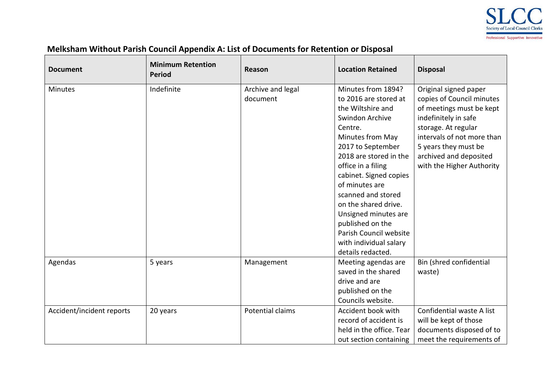

## **Melksham Without Parish Council Appendix A: List of Documents for Retention or Disposal**

| <b>Document</b>           | <b>Minimum Retention</b><br><b>Period</b> | Reason            | <b>Location Retained</b>              | <b>Disposal</b>            |
|---------------------------|-------------------------------------------|-------------------|---------------------------------------|----------------------------|
| <b>Minutes</b>            | Indefinite                                | Archive and legal | Minutes from 1894?                    | Original signed paper      |
|                           |                                           | document          | to 2016 are stored at                 | copies of Council minutes  |
|                           |                                           |                   | the Wiltshire and                     | of meetings must be kept   |
|                           |                                           |                   | Swindon Archive                       | indefinitely in safe       |
|                           |                                           |                   | Centre.                               | storage. At regular        |
|                           |                                           |                   | Minutes from May                      | intervals of not more than |
|                           |                                           |                   | 2017 to September                     | 5 years they must be       |
|                           |                                           |                   | 2018 are stored in the                | archived and deposited     |
|                           |                                           |                   | office in a filing                    | with the Higher Authority  |
|                           |                                           |                   | cabinet. Signed copies                |                            |
|                           |                                           |                   | of minutes are                        |                            |
|                           |                                           |                   | scanned and stored                    |                            |
|                           |                                           |                   | on the shared drive.                  |                            |
|                           |                                           |                   | Unsigned minutes are                  |                            |
|                           |                                           |                   | published on the                      |                            |
|                           |                                           |                   | Parish Council website                |                            |
|                           |                                           |                   | with individual salary                |                            |
|                           |                                           |                   | details redacted.                     |                            |
| Agendas                   | 5 years                                   | Management        | Meeting agendas are                   | Bin (shred confidential    |
|                           |                                           |                   | saved in the shared<br>drive and are  | waste)                     |
|                           |                                           |                   |                                       |                            |
|                           |                                           |                   | published on the<br>Councils website. |                            |
|                           |                                           | Potential claims  | Accident book with                    | Confidential waste A list  |
| Accident/incident reports | 20 years                                  |                   | record of accident is                 |                            |
|                           |                                           |                   | held in the office. Tear              | will be kept of those      |
|                           |                                           |                   |                                       | documents disposed of to   |
|                           |                                           |                   | out section containing                | meet the requirements of   |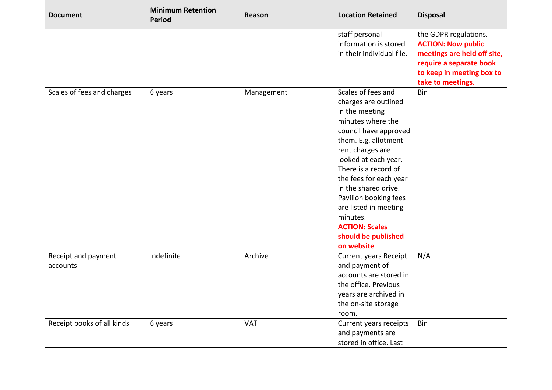| <b>Document</b>            | <b>Minimum Retention</b><br><b>Period</b> | <b>Reason</b> | <b>Location Retained</b>     | <b>Disposal</b>             |
|----------------------------|-------------------------------------------|---------------|------------------------------|-----------------------------|
|                            |                                           |               | staff personal               | the GDPR regulations.       |
|                            |                                           |               | information is stored        | <b>ACTION: Now public</b>   |
|                            |                                           |               | in their individual file.    | meetings are held off site, |
|                            |                                           |               |                              | require a separate book     |
|                            |                                           |               |                              | to keep in meeting box to   |
|                            |                                           |               |                              | take to meetings.           |
| Scales of fees and charges | 6 years                                   | Management    | Scales of fees and           | Bin                         |
|                            |                                           |               | charges are outlined         |                             |
|                            |                                           |               | in the meeting               |                             |
|                            |                                           |               | minutes where the            |                             |
|                            |                                           |               | council have approved        |                             |
|                            |                                           |               | them. E.g. allotment         |                             |
|                            |                                           |               | rent charges are             |                             |
|                            |                                           |               | looked at each year.         |                             |
|                            |                                           |               | There is a record of         |                             |
|                            |                                           |               | the fees for each year       |                             |
|                            |                                           |               | in the shared drive.         |                             |
|                            |                                           |               | Pavilion booking fees        |                             |
|                            |                                           |               | are listed in meeting        |                             |
|                            |                                           |               | minutes.                     |                             |
|                            |                                           |               | <b>ACTION: Scales</b>        |                             |
|                            |                                           |               | should be published          |                             |
|                            |                                           |               | on website                   |                             |
| Receipt and payment        | Indefinite                                | Archive       | <b>Current years Receipt</b> | N/A                         |
| accounts                   |                                           |               | and payment of               |                             |
|                            |                                           |               | accounts are stored in       |                             |
|                            |                                           |               | the office. Previous         |                             |
|                            |                                           |               | years are archived in        |                             |
|                            |                                           |               | the on-site storage          |                             |
|                            |                                           |               | room.                        |                             |
| Receipt books of all kinds | 6 years                                   | <b>VAT</b>    | Current years receipts       | Bin                         |
|                            |                                           |               | and payments are             |                             |
|                            |                                           |               | stored in office. Last       |                             |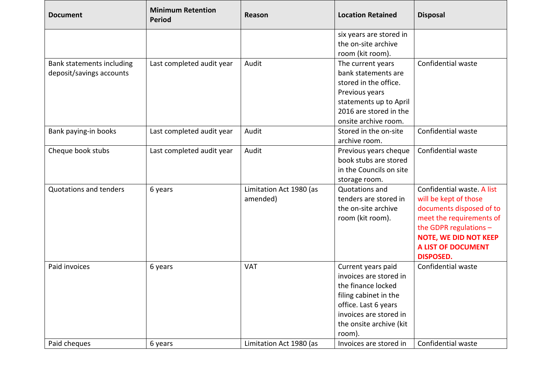| <b>Document</b>               | <b>Minimum Retention</b><br><b>Period</b> | <b>Reason</b>           | <b>Location Retained</b> | <b>Disposal</b>              |
|-------------------------------|-------------------------------------------|-------------------------|--------------------------|------------------------------|
|                               |                                           |                         | six years are stored in  |                              |
|                               |                                           |                         | the on-site archive      |                              |
|                               |                                           |                         | room (kit room).         |                              |
| Bank statements including     | Last completed audit year                 | Audit                   | The current years        | Confidential waste           |
| deposit/savings accounts      |                                           |                         | bank statements are      |                              |
|                               |                                           |                         | stored in the office.    |                              |
|                               |                                           |                         | Previous years           |                              |
|                               |                                           |                         | statements up to April   |                              |
|                               |                                           |                         | 2016 are stored in the   |                              |
|                               |                                           |                         | onsite archive room.     |                              |
| Bank paying-in books          | Last completed audit year                 | Audit                   | Stored in the on-site    | Confidential waste           |
|                               |                                           |                         | archive room.            |                              |
| Cheque book stubs             | Last completed audit year                 | Audit                   | Previous years cheque    | Confidential waste           |
|                               |                                           |                         | book stubs are stored    |                              |
|                               |                                           |                         | in the Councils on site  |                              |
|                               |                                           |                         | storage room.            |                              |
| <b>Quotations and tenders</b> | 6 years                                   | Limitation Act 1980 (as | Quotations and           | Confidential waste. A list   |
|                               |                                           | amended)                | tenders are stored in    | will be kept of those        |
|                               |                                           |                         | the on-site archive      | documents disposed of to     |
|                               |                                           |                         | room (kit room).         | meet the requirements of     |
|                               |                                           |                         |                          | the GDPR regulations $-$     |
|                               |                                           |                         |                          | <b>NOTE, WE DID NOT KEEP</b> |
|                               |                                           |                         |                          | <b>A LIST OF DOCUMENT</b>    |
|                               |                                           |                         |                          | <b>DISPOSED.</b>             |
| Paid invoices                 | 6 years                                   | <b>VAT</b>              | Current years paid       | Confidential waste           |
|                               |                                           |                         | invoices are stored in   |                              |
|                               |                                           |                         | the finance locked       |                              |
|                               |                                           |                         | filing cabinet in the    |                              |
|                               |                                           |                         | office. Last 6 years     |                              |
|                               |                                           |                         | invoices are stored in   |                              |
|                               |                                           |                         | the onsite archive (kit  |                              |
|                               |                                           |                         | room).                   |                              |
| Paid cheques                  | 6 years                                   | Limitation Act 1980 (as | Invoices are stored in   | Confidential waste           |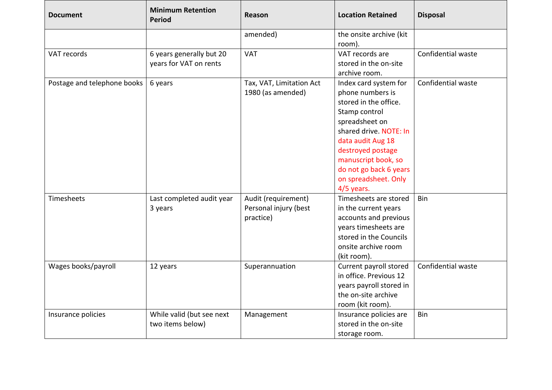| <b>Document</b>             | <b>Minimum Retention</b><br><b>Period</b> | Reason                   | <b>Location Retained</b> | <b>Disposal</b>    |
|-----------------------------|-------------------------------------------|--------------------------|--------------------------|--------------------|
|                             |                                           | amended)                 | the onsite archive (kit  |                    |
|                             |                                           |                          | room).                   |                    |
| VAT records                 | 6 years generally but 20                  | <b>VAT</b>               | VAT records are          | Confidential waste |
|                             | years for VAT on rents                    |                          | stored in the on-site    |                    |
|                             |                                           |                          | archive room.            |                    |
| Postage and telephone books | 6 years                                   | Tax, VAT, Limitation Act | Index card system for    | Confidential waste |
|                             |                                           | 1980 (as amended)        | phone numbers is         |                    |
|                             |                                           |                          | stored in the office.    |                    |
|                             |                                           |                          | Stamp control            |                    |
|                             |                                           |                          | spreadsheet on           |                    |
|                             |                                           |                          | shared drive. NOTE: In   |                    |
|                             |                                           |                          | data audit Aug 18        |                    |
|                             |                                           |                          | destroyed postage        |                    |
|                             |                                           |                          | manuscript book, so      |                    |
|                             |                                           |                          | do not go back 6 years   |                    |
|                             |                                           |                          | on spreadsheet. Only     |                    |
|                             |                                           |                          | $4/5$ years.             |                    |
| Timesheets                  | Last completed audit year                 | Audit (requirement)      | Timesheets are stored    | Bin                |
|                             | 3 years                                   | Personal injury (best    | in the current years     |                    |
|                             |                                           | practice)                | accounts and previous    |                    |
|                             |                                           |                          | years timesheets are     |                    |
|                             |                                           |                          | stored in the Councils   |                    |
|                             |                                           |                          | onsite archive room      |                    |
|                             |                                           |                          | (kit room).              |                    |
| Wages books/payroll         | 12 years                                  | Superannuation           | Current payroll stored   | Confidential waste |
|                             |                                           |                          | in office. Previous 12   |                    |
|                             |                                           |                          | years payroll stored in  |                    |
|                             |                                           |                          | the on-site archive      |                    |
|                             |                                           |                          | room (kit room).         |                    |
| Insurance policies          | While valid (but see next                 | Management               | Insurance policies are   | Bin                |
|                             | two items below)                          |                          | stored in the on-site    |                    |
|                             |                                           |                          | storage room.            |                    |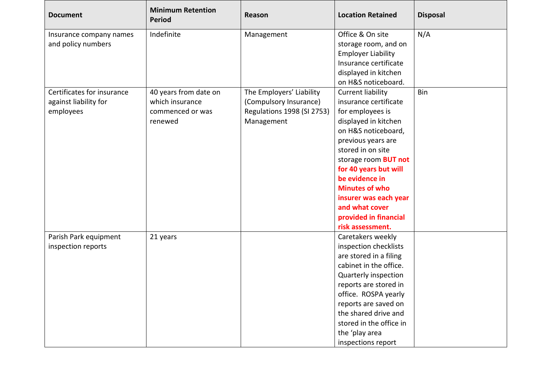| <b>Document</b>            | <b>Minimum Retention</b><br><b>Period</b> | Reason                            | <b>Location Retained</b>    | <b>Disposal</b> |
|----------------------------|-------------------------------------------|-----------------------------------|-----------------------------|-----------------|
| Insurance company names    | Indefinite                                | Management                        | Office & On site            | N/A             |
| and policy numbers         |                                           |                                   | storage room, and on        |                 |
|                            |                                           |                                   | <b>Employer Liability</b>   |                 |
|                            |                                           |                                   | Insurance certificate       |                 |
|                            |                                           |                                   | displayed in kitchen        |                 |
|                            |                                           |                                   | on H&S noticeboard.         |                 |
| Certificates for insurance | 40 years from date on                     | The Employers' Liability          | <b>Current liability</b>    | Bin             |
| against liability for      | which insurance                           | (Compulsory Insurance)            | insurance certificate       |                 |
| employees                  | commenced or was                          | <b>Regulations 1998 (SI 2753)</b> | for employees is            |                 |
|                            | renewed                                   | Management                        | displayed in kitchen        |                 |
|                            |                                           |                                   | on H&S noticeboard,         |                 |
|                            |                                           |                                   | previous years are          |                 |
|                            |                                           |                                   | stored in on site           |                 |
|                            |                                           |                                   | storage room <b>BUT not</b> |                 |
|                            |                                           |                                   | for 40 years but will       |                 |
|                            |                                           |                                   | be evidence in              |                 |
|                            |                                           |                                   | <b>Minutes of who</b>       |                 |
|                            |                                           |                                   | insurer was each year       |                 |
|                            |                                           |                                   | and what cover              |                 |
|                            |                                           |                                   | provided in financial       |                 |
|                            |                                           |                                   | risk assessment.            |                 |
| Parish Park equipment      | 21 years                                  |                                   | Caretakers weekly           |                 |
| inspection reports         |                                           |                                   | inspection checklists       |                 |
|                            |                                           |                                   | are stored in a filing      |                 |
|                            |                                           |                                   | cabinet in the office.      |                 |
|                            |                                           |                                   | Quarterly inspection        |                 |
|                            |                                           |                                   | reports are stored in       |                 |
|                            |                                           |                                   | office. ROSPA yearly        |                 |
|                            |                                           |                                   | reports are saved on        |                 |
|                            |                                           |                                   | the shared drive and        |                 |
|                            |                                           |                                   | stored in the office in     |                 |
|                            |                                           |                                   | the 'play area              |                 |
|                            |                                           |                                   | inspections report          |                 |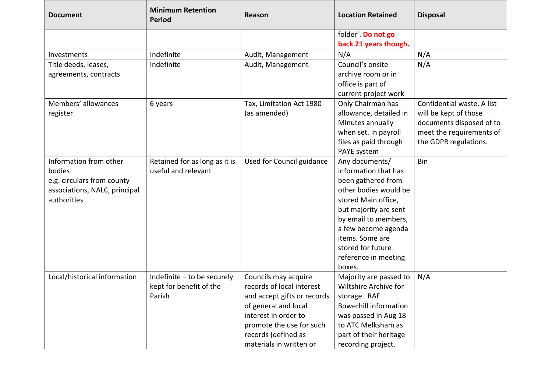| <b>Document</b>                                                                                                | <b>Minimum Retention</b><br><b>Period</b>                        | Reason                                                                                                                                                                                                         | <b>Location Retained</b>                                                                                                                                                                                                                                       | <b>Disposal</b>                                                                                                                      |
|----------------------------------------------------------------------------------------------------------------|------------------------------------------------------------------|----------------------------------------------------------------------------------------------------------------------------------------------------------------------------------------------------------------|----------------------------------------------------------------------------------------------------------------------------------------------------------------------------------------------------------------------------------------------------------------|--------------------------------------------------------------------------------------------------------------------------------------|
|                                                                                                                |                                                                  |                                                                                                                                                                                                                | folder'. Do not go<br>back 21 years though.                                                                                                                                                                                                                    |                                                                                                                                      |
| Investments                                                                                                    | Indefinite                                                       | Audit, Management                                                                                                                                                                                              | N/A                                                                                                                                                                                                                                                            | N/A                                                                                                                                  |
| Title deeds, leases,<br>agreements, contracts                                                                  | Indefinite                                                       | Audit, Management                                                                                                                                                                                              | Council's onsite<br>archive room or in<br>office is part of<br>current project work                                                                                                                                                                            | N/A                                                                                                                                  |
| Members' allowances<br>register                                                                                | 6 years                                                          | Tax, Limitation Act 1980<br>(as amended)                                                                                                                                                                       | Only Chairman has<br>allowance, detailed in<br>Minutes annually<br>when set. In payroll<br>files as paid through<br>PAYE system                                                                                                                                | Confidential waste. A list<br>will be kept of those<br>documents disposed of to<br>meet the requirements of<br>the GDPR regulations. |
| Information from other<br>bodies<br>e.g. circulars from county<br>associations, NALC, principal<br>authorities | Retained for as long as it is<br>useful and relevant             | Used for Council guidance                                                                                                                                                                                      | Any documents/<br>information that has<br>been gathered from<br>other bodies would be<br>stored Main office,<br>but majority are sent<br>by email to members,<br>a few become agenda<br>items. Some are<br>stored for future<br>reference in meeting<br>boxes. | <b>Bin</b>                                                                                                                           |
| Local/historical information                                                                                   | Indefinite - to be securely<br>kept for benefit of the<br>Parish | Councils may acquire<br>records of local interest<br>and accept gifts or records<br>of general and local<br>interest in order to<br>promote the use for such<br>records (defined as<br>materials in written or | Majority are passed to<br>Wiltshire Archive for<br>storage. RAF<br><b>Bowerhill information</b><br>was passed in Aug 18<br>to ATC Melksham as<br>part of their heritage<br>recording project.                                                                  | N/A                                                                                                                                  |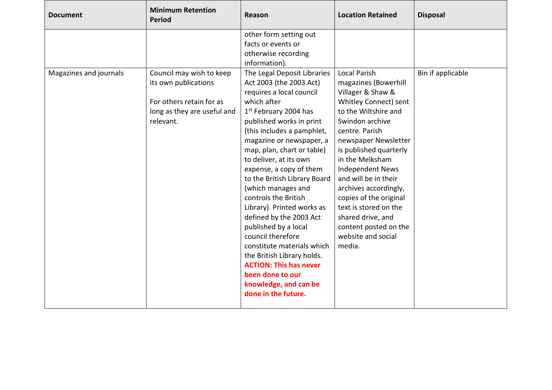| <b>Document</b>        | <b>Minimum Retention</b><br>Period                                                                                       | Reason                                                                                                                                                                                                                                                                                                                                                                                                                                                                                                                                                                                                                                                                                                                                                       | <b>Location Retained</b>                                                                                                                                                                                                                                                                                                                                                                                                                 | <b>Disposal</b>   |
|------------------------|--------------------------------------------------------------------------------------------------------------------------|--------------------------------------------------------------------------------------------------------------------------------------------------------------------------------------------------------------------------------------------------------------------------------------------------------------------------------------------------------------------------------------------------------------------------------------------------------------------------------------------------------------------------------------------------------------------------------------------------------------------------------------------------------------------------------------------------------------------------------------------------------------|------------------------------------------------------------------------------------------------------------------------------------------------------------------------------------------------------------------------------------------------------------------------------------------------------------------------------------------------------------------------------------------------------------------------------------------|-------------------|
| Magazines and journals | Council may wish to keep<br>its own publications<br>For others retain for as<br>long as they are useful and<br>relevant. | other form setting out<br>facts or events or<br>otherwise recording<br>information).<br>The Legal Deposit Libraries<br>Act 2003 (the 2003 Act)<br>requires a local council<br>which after<br>1 <sup>st</sup> February 2004 has<br>published works in print<br>(this includes a pamphlet,<br>magazine or newspaper, a<br>map, plan, chart or table)<br>to deliver, at its own<br>expense, a copy of them<br>to the British Library Board<br>(which manages and<br>controls the British<br>Library). Printed works as<br>defined by the 2003 Act<br>published by a local<br>council therefore<br>constitute materials which<br>the British Library holds.<br><b>ACTION: This has never</b><br>been done to our<br>knowledge, and can be<br>done in the future. | <b>Local Parish</b><br>magazines (Bowerhill<br>Villager & Shaw &<br>Whitley Connect) sent<br>to the Wiltshire and<br>Swindon archive<br>centre. Parish<br>newspaper Newsletter<br>is published quarterly<br>in the Melksham<br><b>Independent News</b><br>and will be in their<br>archives accordingly,<br>copies of the original<br>text is stored on the<br>shared drive, and<br>content posted on the<br>website and social<br>media. | Bin if applicable |
|                        |                                                                                                                          |                                                                                                                                                                                                                                                                                                                                                                                                                                                                                                                                                                                                                                                                                                                                                              |                                                                                                                                                                                                                                                                                                                                                                                                                                          |                   |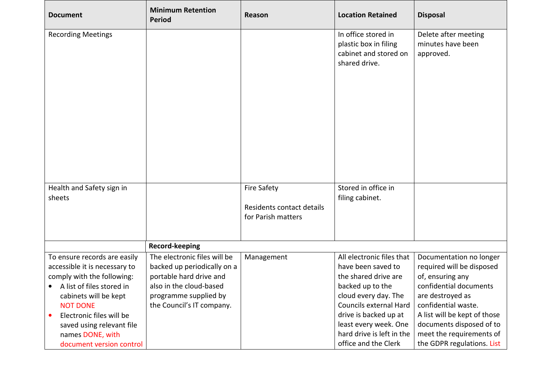| <b>Document</b>                                         | <b>Minimum Retention</b><br><b>Period</b>          | Reason                    | <b>Location Retained</b>                       | <b>Disposal</b>                            |
|---------------------------------------------------------|----------------------------------------------------|---------------------------|------------------------------------------------|--------------------------------------------|
| <b>Recording Meetings</b>                               |                                                    |                           | In office stored in<br>plastic box in filing   | Delete after meeting<br>minutes have been  |
|                                                         |                                                    |                           | cabinet and stored on                          | approved.                                  |
|                                                         |                                                    |                           | shared drive.                                  |                                            |
|                                                         |                                                    |                           |                                                |                                            |
|                                                         |                                                    |                           |                                                |                                            |
|                                                         |                                                    |                           |                                                |                                            |
|                                                         |                                                    |                           |                                                |                                            |
|                                                         |                                                    |                           |                                                |                                            |
|                                                         |                                                    |                           |                                                |                                            |
|                                                         |                                                    |                           |                                                |                                            |
| Health and Safety sign in                               |                                                    | <b>Fire Safety</b>        | Stored in office in                            |                                            |
| sheets                                                  |                                                    |                           | filing cabinet.                                |                                            |
|                                                         |                                                    | Residents contact details |                                                |                                            |
|                                                         |                                                    | for Parish matters        |                                                |                                            |
|                                                         |                                                    |                           |                                                |                                            |
|                                                         | Record-keeping                                     |                           |                                                |                                            |
| To ensure records are easily                            | The electronic files will be                       | Management                | All electronic files that                      | Documentation no longer                    |
| accessible it is necessary to                           | backed up periodically on a                        |                           | have been saved to                             | required will be disposed                  |
| comply with the following:<br>A list of files stored in | portable hard drive and<br>also in the cloud-based |                           | the shared drive are<br>backed up to the       | of, ensuring any<br>confidential documents |
|                                                         |                                                    |                           |                                                |                                            |
| cabinets will be kept<br><b>NOT DONE</b>                | programme supplied by<br>the Council's IT company. |                           | cloud every day. The<br>Councils external Hard | are destroyed as<br>confidential waste.    |
| Electronic files will be                                |                                                    |                           | drive is backed up at                          | A list will be kept of those               |
| saved using relevant file                               |                                                    |                           | least every week. One                          | documents disposed of to                   |
| names DONE, with                                        |                                                    |                           | hard drive is left in the                      | meet the requirements of                   |
| document version control                                |                                                    |                           | office and the Clerk                           | the GDPR regulations. List                 |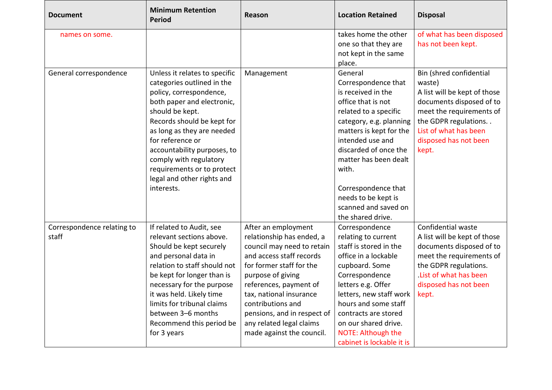| <b>Document</b>            | <b>Minimum Retention</b><br><b>Period</b> | <b>Reason</b>               | <b>Location Retained</b>  | <b>Disposal</b>              |
|----------------------------|-------------------------------------------|-----------------------------|---------------------------|------------------------------|
| names on some.             |                                           |                             | takes home the other      | of what has been disposed    |
|                            |                                           |                             | one so that they are      | has not been kept.           |
|                            |                                           |                             | not kept in the same      |                              |
|                            |                                           |                             | place.                    |                              |
| General correspondence     | Unless it relates to specific             | Management                  | General                   | Bin (shred confidential      |
|                            | categories outlined in the                |                             | Correspondence that       | waste)                       |
|                            | policy, correspondence,                   |                             | is received in the        | A list will be kept of those |
|                            | both paper and electronic,                |                             | office that is not        | documents disposed of to     |
|                            | should be kept.                           |                             | related to a specific     | meet the requirements of     |
|                            | Records should be kept for                |                             | category, e.g. planning   | the GDPR regulations         |
|                            | as long as they are needed                |                             | matters is kept for the   | List of what has been        |
|                            | for reference or                          |                             | intended use and          | disposed has not been        |
|                            | accountability purposes, to               |                             | discarded of once the     | kept.                        |
|                            | comply with regulatory                    |                             | matter has been dealt     |                              |
|                            | requirements or to protect                |                             | with.                     |                              |
|                            | legal and other rights and                |                             |                           |                              |
|                            | interests.                                |                             | Correspondence that       |                              |
|                            |                                           |                             | needs to be kept is       |                              |
|                            |                                           |                             | scanned and saved on      |                              |
|                            |                                           |                             | the shared drive.         |                              |
| Correspondence relating to | If related to Audit, see                  | After an employment         | Correspondence            | Confidential waste           |
| staff                      | relevant sections above.                  | relationship has ended, a   | relating to current       | A list will be kept of those |
|                            | Should be kept securely                   | council may need to retain  | staff is stored in the    | documents disposed of to     |
|                            | and personal data in                      | and access staff records    | office in a lockable      | meet the requirements of     |
|                            | relation to staff should not              | for former staff for the    | cupboard. Some            | the GDPR regulations.        |
|                            | be kept for longer than is                | purpose of giving           | Correspondence            | List of what has been        |
|                            | necessary for the purpose                 | references, payment of      | letters e.g. Offer        | disposed has not been        |
|                            | it was held. Likely time                  | tax, national insurance     | letters, new staff work   | kept.                        |
|                            | limits for tribunal claims                | contributions and           | hours and some staff      |                              |
|                            | between 3-6 months                        | pensions, and in respect of | contracts are stored      |                              |
|                            | Recommend this period be                  | any related legal claims    | on our shared drive.      |                              |
|                            | for 3 years                               | made against the council.   | NOTE: Although the        |                              |
|                            |                                           |                             | cabinet is lockable it is |                              |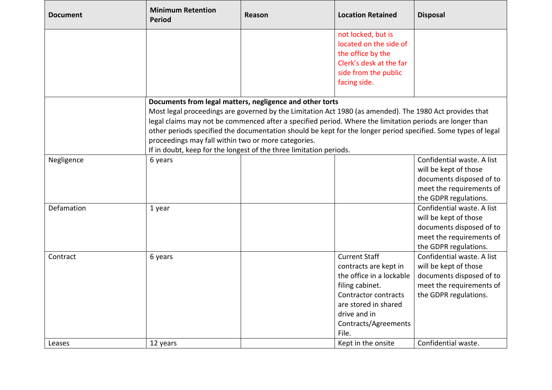| <b>Document</b> | <b>Minimum Retention</b><br><b>Period</b>                          | Reason                                              | <b>Location Retained</b>                                                                                      | <b>Disposal</b>            |  |
|-----------------|--------------------------------------------------------------------|-----------------------------------------------------|---------------------------------------------------------------------------------------------------------------|----------------------------|--|
|                 |                                                                    |                                                     | not locked, but is                                                                                            |                            |  |
|                 |                                                                    |                                                     | located on the side of                                                                                        |                            |  |
|                 |                                                                    |                                                     | the office by the                                                                                             |                            |  |
|                 |                                                                    |                                                     | Clerk's desk at the far                                                                                       |                            |  |
|                 |                                                                    |                                                     | side from the public                                                                                          |                            |  |
|                 |                                                                    |                                                     | facing side.                                                                                                  |                            |  |
|                 | Documents from legal matters, negligence and other torts           |                                                     |                                                                                                               |                            |  |
|                 |                                                                    |                                                     | Most legal proceedings are governed by the Limitation Act 1980 (as amended). The 1980 Act provides that       |                            |  |
|                 |                                                                    |                                                     | legal claims may not be commenced after a specified period. Where the limitation periods are longer than      |                            |  |
|                 |                                                                    |                                                     | other periods specified the documentation should be kept for the longer period specified. Some types of legal |                            |  |
|                 |                                                                    | proceedings may fall within two or more categories. |                                                                                                               |                            |  |
|                 | If in doubt, keep for the longest of the three limitation periods. |                                                     |                                                                                                               |                            |  |
| Negligence      | 6 years                                                            |                                                     |                                                                                                               | Confidential waste. A list |  |
|                 |                                                                    |                                                     |                                                                                                               | will be kept of those      |  |
|                 |                                                                    |                                                     |                                                                                                               | documents disposed of to   |  |
|                 |                                                                    |                                                     |                                                                                                               | meet the requirements of   |  |
|                 |                                                                    |                                                     |                                                                                                               | the GDPR regulations.      |  |
| Defamation      | 1 year                                                             |                                                     |                                                                                                               | Confidential waste. A list |  |
|                 |                                                                    |                                                     |                                                                                                               | will be kept of those      |  |
|                 |                                                                    |                                                     |                                                                                                               | documents disposed of to   |  |
|                 |                                                                    |                                                     |                                                                                                               | meet the requirements of   |  |
|                 |                                                                    |                                                     |                                                                                                               | the GDPR regulations.      |  |
| Contract        | 6 years                                                            |                                                     | <b>Current Staff</b>                                                                                          | Confidential waste. A list |  |
|                 |                                                                    |                                                     | contracts are kept in                                                                                         | will be kept of those      |  |
|                 |                                                                    |                                                     | the office in a lockable                                                                                      | documents disposed of to   |  |
|                 |                                                                    |                                                     | filing cabinet.                                                                                               | meet the requirements of   |  |
|                 |                                                                    |                                                     | Contractor contracts                                                                                          | the GDPR regulations.      |  |
|                 |                                                                    |                                                     | are stored in shared                                                                                          |                            |  |
|                 |                                                                    |                                                     | drive and in                                                                                                  |                            |  |
|                 |                                                                    |                                                     | Contracts/Agreements                                                                                          |                            |  |
|                 |                                                                    |                                                     | File.                                                                                                         |                            |  |
| Leases          | 12 years                                                           |                                                     | Kept in the onsite                                                                                            | Confidential waste.        |  |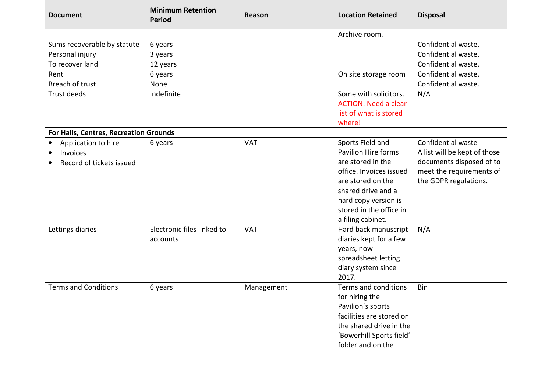| <b>Document</b>                        | <b>Minimum Retention</b><br><b>Period</b> | Reason     | <b>Location Retained</b>    | <b>Disposal</b>              |
|----------------------------------------|-------------------------------------------|------------|-----------------------------|------------------------------|
|                                        |                                           |            | Archive room.               |                              |
| Sums recoverable by statute            | 6 years                                   |            |                             | Confidential waste.          |
| Personal injury                        | 3 years                                   |            |                             | Confidential waste.          |
| To recover land                        | 12 years                                  |            |                             | Confidential waste.          |
| Rent                                   | 6 years                                   |            | On site storage room        | Confidential waste.          |
| Breach of trust                        | None                                      |            |                             | Confidential waste.          |
| Trust deeds                            | Indefinite                                |            | Some with solicitors.       | N/A                          |
|                                        |                                           |            | <b>ACTION: Need a clear</b> |                              |
|                                        |                                           |            | list of what is stored      |                              |
|                                        |                                           |            | where!                      |                              |
| For Halls, Centres, Recreation Grounds |                                           |            |                             |                              |
| Application to hire                    | 6 years                                   | <b>VAT</b> | Sports Field and            | Confidential waste           |
| Invoices<br>٠                          |                                           |            | <b>Pavilion Hire forms</b>  | A list will be kept of those |
| Record of tickets issued<br>٠          |                                           |            | are stored in the           | documents disposed of to     |
|                                        |                                           |            | office. Invoices issued     | meet the requirements of     |
|                                        |                                           |            | are stored on the           | the GDPR regulations.        |
|                                        |                                           |            | shared drive and a          |                              |
|                                        |                                           |            | hard copy version is        |                              |
|                                        |                                           |            | stored in the office in     |                              |
|                                        |                                           |            | a filing cabinet.           |                              |
| Lettings diaries                       | Electronic files linked to                | <b>VAT</b> | Hard back manuscript        | N/A                          |
|                                        | accounts                                  |            | diaries kept for a few      |                              |
|                                        |                                           |            | years, now                  |                              |
|                                        |                                           |            | spreadsheet letting         |                              |
|                                        |                                           |            | diary system since          |                              |
|                                        |                                           |            | 2017.                       |                              |
| <b>Terms and Conditions</b>            | 6 years                                   | Management | Terms and conditions        | Bin                          |
|                                        |                                           |            | for hiring the              |                              |
|                                        |                                           |            | Pavilion's sports           |                              |
|                                        |                                           |            | facilities are stored on    |                              |
|                                        |                                           |            | the shared drive in the     |                              |
|                                        |                                           |            | 'Bowerhill Sports field'    |                              |
|                                        |                                           |            | folder and on the           |                              |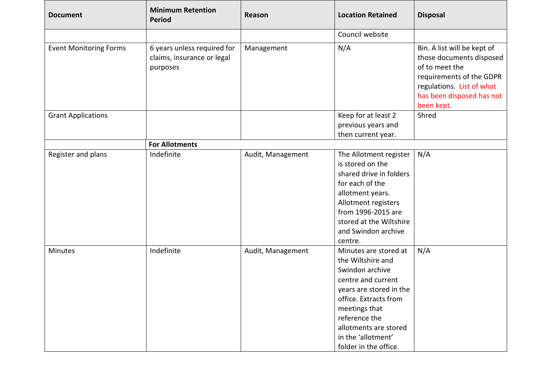| <b>Document</b>               | <b>Minimum Retention</b><br><b>Period</b>                             | Reason            | <b>Location Retained</b>                                                                                                                                                                                                                          | <b>Disposal</b>                                                                                                                                                               |
|-------------------------------|-----------------------------------------------------------------------|-------------------|---------------------------------------------------------------------------------------------------------------------------------------------------------------------------------------------------------------------------------------------------|-------------------------------------------------------------------------------------------------------------------------------------------------------------------------------|
|                               |                                                                       |                   | Council website                                                                                                                                                                                                                                   |                                                                                                                                                                               |
| <b>Event Monitoring Forms</b> | 6 years unless required for<br>claims, insurance or legal<br>purposes | Management        | N/A                                                                                                                                                                                                                                               | Bin. A list will be kept of<br>those documents disposed<br>of to meet the<br>requirements of the GDPR<br>regulations. List of what<br>has been disposed has not<br>been kept. |
| <b>Grant Applications</b>     |                                                                       |                   | Keep for at least 2                                                                                                                                                                                                                               | Shred                                                                                                                                                                         |
|                               |                                                                       |                   | previous years and                                                                                                                                                                                                                                |                                                                                                                                                                               |
|                               |                                                                       |                   | then current year.                                                                                                                                                                                                                                |                                                                                                                                                                               |
|                               | <b>For Allotments</b>                                                 |                   |                                                                                                                                                                                                                                                   |                                                                                                                                                                               |
| Register and plans            | Indefinite                                                            | Audit, Management | The Allotment register<br>is stored on the<br>shared drive in folders<br>for each of the<br>allotment years.<br>Allotment registers<br>from 1996-2015 are<br>stored at the Wiltshire<br>and Swindon archive<br>centre.                            | N/A                                                                                                                                                                           |
| Minutes                       | Indefinite                                                            | Audit, Management | Minutes are stored at<br>the Wiltshire and<br>Swindon archive<br>centre and current<br>years are stored in the<br>office. Extracts from<br>meetings that<br>reference the<br>allotments are stored<br>in the 'allotment'<br>folder in the office. | N/A                                                                                                                                                                           |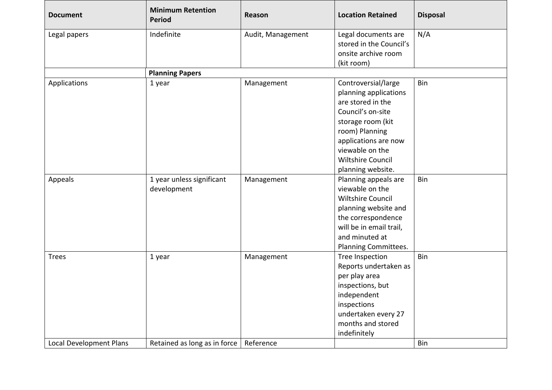| <b>Document</b>         | <b>Minimum Retention</b><br><b>Period</b> | Reason            | <b>Location Retained</b> | <b>Disposal</b> |
|-------------------------|-------------------------------------------|-------------------|--------------------------|-----------------|
| Legal papers            | Indefinite                                | Audit, Management | Legal documents are      | N/A             |
|                         |                                           |                   | stored in the Council's  |                 |
|                         |                                           |                   | onsite archive room      |                 |
|                         |                                           |                   | (kit room)               |                 |
|                         | <b>Planning Papers</b>                    |                   |                          |                 |
| Applications            | 1 year                                    | Management        | Controversial/large      | Bin             |
|                         |                                           |                   | planning applications    |                 |
|                         |                                           |                   | are stored in the        |                 |
|                         |                                           |                   | Council's on-site        |                 |
|                         |                                           |                   | storage room (kit        |                 |
|                         |                                           |                   | room) Planning           |                 |
|                         |                                           |                   | applications are now     |                 |
|                         |                                           |                   | viewable on the          |                 |
|                         |                                           |                   | <b>Wiltshire Council</b> |                 |
|                         |                                           |                   | planning website.        |                 |
| Appeals                 | 1 year unless significant                 | Management        | Planning appeals are     | Bin             |
|                         | development                               |                   | viewable on the          |                 |
|                         |                                           |                   | <b>Wiltshire Council</b> |                 |
|                         |                                           |                   | planning website and     |                 |
|                         |                                           |                   | the correspondence       |                 |
|                         |                                           |                   | will be in email trail,  |                 |
|                         |                                           |                   | and minuted at           |                 |
|                         |                                           |                   | Planning Committees.     |                 |
| <b>Trees</b>            | 1 year                                    | Management        | Tree Inspection          | Bin             |
|                         |                                           |                   | Reports undertaken as    |                 |
|                         |                                           |                   | per play area            |                 |
|                         |                                           |                   | inspections, but         |                 |
|                         |                                           |                   | independent              |                 |
|                         |                                           |                   | inspections              |                 |
|                         |                                           |                   | undertaken every 27      |                 |
|                         |                                           |                   | months and stored        |                 |
|                         |                                           |                   | indefinitely             |                 |
| Local Development Plans | Retained as long as in force              | Reference         |                          | Bin             |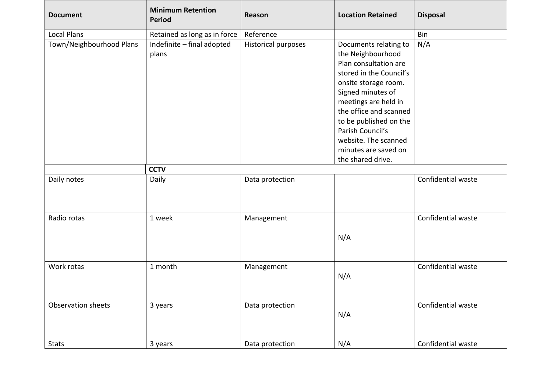| <b>Document</b>          | <b>Minimum Retention</b><br><b>Period</b> | Reason                     | <b>Location Retained</b>                                                                                                                                                                                                                                                                    | <b>Disposal</b>    |
|--------------------------|-------------------------------------------|----------------------------|---------------------------------------------------------------------------------------------------------------------------------------------------------------------------------------------------------------------------------------------------------------------------------------------|--------------------|
| <b>Local Plans</b>       | Retained as long as in force              | Reference                  |                                                                                                                                                                                                                                                                                             | Bin                |
| Town/Neighbourhood Plans | Indefinite - final adopted<br>plans       | <b>Historical purposes</b> | Documents relating to<br>the Neighbourhood<br>Plan consultation are<br>stored in the Council's<br>onsite storage room.<br>Signed minutes of<br>meetings are held in<br>the office and scanned<br>to be published on the<br>Parish Council's<br>website. The scanned<br>minutes are saved on | N/A                |
|                          |                                           |                            | the shared drive.                                                                                                                                                                                                                                                                           |                    |
|                          | <b>CCTV</b>                               |                            |                                                                                                                                                                                                                                                                                             |                    |
| Daily notes              | Daily                                     | Data protection            |                                                                                                                                                                                                                                                                                             | Confidential waste |
| Radio rotas              | 1 week                                    | Management                 | N/A                                                                                                                                                                                                                                                                                         | Confidential waste |
| Work rotas               | 1 month                                   | Management                 | N/A                                                                                                                                                                                                                                                                                         | Confidential waste |
| Observation sheets       | 3 years                                   | Data protection            | N/A                                                                                                                                                                                                                                                                                         | Confidential waste |
| <b>Stats</b>             | 3 years                                   | Data protection            | N/A                                                                                                                                                                                                                                                                                         | Confidential waste |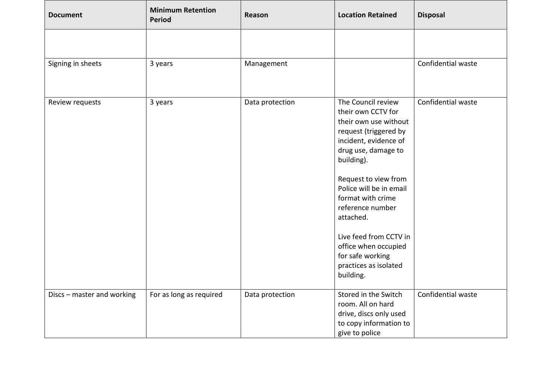| <b>Document</b>            | <b>Minimum Retention</b><br><b>Period</b> | Reason          | <b>Location Retained</b>                                                                                                                                                                                                                                                                                                                                                      | <b>Disposal</b>    |
|----------------------------|-------------------------------------------|-----------------|-------------------------------------------------------------------------------------------------------------------------------------------------------------------------------------------------------------------------------------------------------------------------------------------------------------------------------------------------------------------------------|--------------------|
|                            |                                           |                 |                                                                                                                                                                                                                                                                                                                                                                               |                    |
| Signing in sheets          | 3 years                                   | Management      |                                                                                                                                                                                                                                                                                                                                                                               | Confidential waste |
| Review requests            | 3 years                                   | Data protection | The Council review<br>their own CCTV for<br>their own use without<br>request (triggered by<br>incident, evidence of<br>drug use, damage to<br>building).<br>Request to view from<br>Police will be in email<br>format with crime<br>reference number<br>attached.<br>Live feed from CCTV in<br>office when occupied<br>for safe working<br>practices as isolated<br>building. | Confidential waste |
| Discs - master and working | For as long as required                   | Data protection | Stored in the Switch<br>room. All on hard<br>drive, discs only used<br>to copy information to<br>give to police                                                                                                                                                                                                                                                               | Confidential waste |